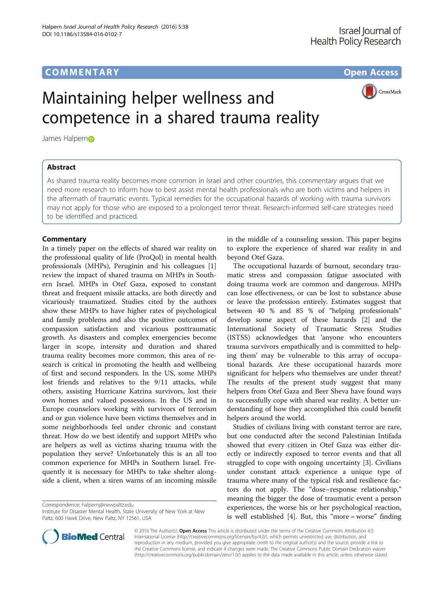# COMM EN TARY Open Access



# Maintaining helper wellness and competence in a shared trauma reality

James Halper[n](http://orcid.org/0000-0002-1658-5061)o

## Abstract

As shared trauma reality becomes more common in Israel and other countries, this commentary argues that we need more research to inform how to best assist mental health professionals who are both victims and helpers in the aftermath of traumatic events. Typical remedies for the occupational hazards of working with trauma survivors may not apply for those who are exposed to a prolonged terror threat. Research-informed self-care strategies need to be identified and practiced.

### **Commentary**

In a timely paper on the effects of shared war reality on the professional quality of life (ProQol) in mental health professionals (MHPs), Peruginin and his colleagues [\[1](#page-2-0)] review the impact of shared trauma on MHPs in Southern Israel. MHPs in Otef Gaza, exposed to constant threat and frequent missile attacks, are both directly and vicariously traumatized. Studies cited by the authors show these MHPs to have higher rates of psychological and family problems and also the positive outcomes of compassion satisfaction and vicarious posttraumatic growth. As disasters and complex emergencies become larger in scope, intensity and duration and shared trauma reality becomes more common, this area of research is critical in promoting the health and wellbeing of first and second responders. In the US, some MHPs lost friends and relatives to the 9/11 attacks, while others, assisting Hurricane Katrina survivors, lost their own homes and valued possessions. In the US and in Europe counselors working with survivors of terrorism and or gun violence have been victims themselves and in some neighborhoods feel under chronic and constant threat. How do we best identify and support MHPs who are helpers as well as victims sharing trauma with the population they serve? Unfortunately this is an all too common experience for MHPs in Southern Israel. Frequently it is necessary for MHPs to take shelter alongside a client, when a siren warns of an incoming missile

Correspondence: [halpernj@newpaltz.edu](mailto:halpernj@newpaltz.edu)

in the middle of a counseling session. This paper begins to explore the experience of shared war reality in and beyond Otef Gaza.

The occupational hazards of burnout, secondary traumatic stress and compassion fatigue associated with doing trauma work are common and dangerous. MHPs can lose effectiveness, or can be lost to substance abuse or leave the profession entirely. Estimates suggest that between 40 % and 85 % of "helping professionals" develop some aspect of these hazards [[2\]](#page-2-0) and the International Society of Traumatic Stress Studies (ISTSS) acknowledges that 'anyone who encounters trauma survivors empathically and is committed to helping them' may be vulnerable to this array of occupational hazards. Are these occupational hazards more significant for helpers who themselves are under threat? The results of the present study suggest that many helpers from Otef Gaza and Beer Sheva have found ways to successfully cope with shared war reality. A better understanding of how they accomplished this could benefit helpers around the world.

Studies of civilians living with constant terror are rare, but one conducted after the second Palestinian Intifada showed that every citizen in Otef Gaza was either directly or indirectly exposed to terror events and that all struggled to cope with ongoing uncertainty [\[3\]](#page-2-0). Civilians under constant attack experience a unique type of trauma where many of the typical risk and resilience factors do not apply. The "dose–response relationship," meaning the bigger the dose of traumatic event a person experiences, the worse his or her psychological reaction, is well established [[4](#page-2-0)]. But, this "more = worse" finding



© 2016 The Author(s). Open Access This article is distributed under the terms of the Creative Commons Attribution 4.0 International License [\(http://creativecommons.org/licenses/by/4.0/](http://creativecommons.org/licenses/by/4.0/)), which permits unrestricted use, distribution, and reproduction in any medium, provided you give appropriate credit to the original author(s) and the source, provide a link to the Creative Commons license, and indicate if changes were made. The Creative Commons Public Domain Dedication waiver [\(http://creativecommons.org/publicdomain/zero/1.0/](http://creativecommons.org/publicdomain/zero/1.0/)) applies to the data made available in this article, unless otherwise stated.

Institute for Disaster Mental Health, State University of New York at New Paltz, 600 Hawk Drive, New Paltz, NY 12561, USA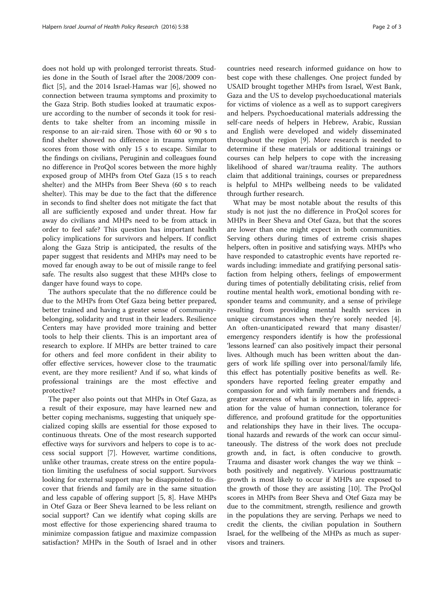does not hold up with prolonged terrorist threats. Studies done in the South of Israel after the 2008/2009 conflict [\[5](#page-2-0)], and the 2014 Israel-Hamas war [[6\]](#page-2-0), showed no connection between trauma symptoms and proximity to the Gaza Strip. Both studies looked at traumatic exposure according to the number of seconds it took for residents to take shelter from an incoming missile in response to an air-raid siren. Those with 60 or 90 s to find shelter showed no difference in trauma symptom scores from those with only 15 s to escape. Similar to the findings on civilians, Peruginin and colleagues found no difference in ProQol scores between the more highly exposed group of MHPs from Otef Gaza (15 s to reach shelter) and the MHPs from Beer Sheva (60 s to reach shelter). This may be due to the fact that the difference in seconds to find shelter does not mitigate the fact that all are sufficiently exposed and under threat. How far away do civilians and MHPs need to be from attack in order to feel safe? This question has important health policy implications for survivors and helpers. If conflict along the Gaza Strip is anticipated, the results of the paper suggest that residents and MHPs may need to be moved far enough away to be out of missile range to feel safe. The results also suggest that these MHPs close to danger have found ways to cope.

The authors speculate that the no difference could be due to the MHPs from Otef Gaza being better prepared, better trained and having a greater sense of communitybelonging, solidarity and trust in their leaders. Resilience Centers may have provided more training and better tools to help their clients. This is an important area of research to explore. If MHPs are better trained to care for others and feel more confident in their ability to offer effective services, however close to the traumatic event, are they more resilient? And if so, what kinds of professional trainings are the most effective and protective?

The paper also points out that MHPs in Otef Gaza, as a result of their exposure, may have learned new and better coping mechanisms, suggesting that uniquely specialized coping skills are essential for those exposed to continuous threats. One of the most research supported effective ways for survivors and helpers to cope is to access social support [\[7](#page-2-0)]. However, wartime conditions, unlike other traumas, create stress on the entire population limiting the usefulness of social support. Survivors looking for external support may be disappointed to discover that friends and family are in the same situation and less capable of offering support [[5, 8\]](#page-2-0). Have MHPs in Otef Gaza or Beer Sheva learned to be less reliant on social support? Can we identify what coping skills are most effective for those experiencing shared trauma to minimize compassion fatigue and maximize compassion satisfaction? MHPs in the South of Israel and in other

countries need research informed guidance on how to best cope with these challenges. One project funded by USAID brought together MHPs from Israel, West Bank, Gaza and the US to develop psychoeducational materials for victims of violence as a well as to support caregivers and helpers. Psychoeducational materials addressing the self-care needs of helpers in Hebrew, Arabic, Russian and English were developed and widely disseminated throughout the region [\[9](#page-2-0)]. More research is needed to determine if these materials or additional trainings or courses can help helpers to cope with the increasing likelihood of shared war/trauma reality. The authors claim that additional trainings, courses or preparedness is helpful to MHPs wellbeing needs to be validated through further research.

What may be most notable about the results of this study is not just the no difference in ProQol scores for MHPs in Beer Sheva and Otef Gaza, but that the scores are lower than one might expect in both communities. Serving others during times of extreme crisis shapes helpers, often in positive and satisfying ways. MHPs who have responded to catastrophic events have reported rewards including: immediate and gratifying personal satisfaction from helping others, feelings of empowerment during times of potentially debilitating crisis, relief from routine mental health work, emotional bonding with responder teams and community, and a sense of privilege resulting from providing mental health services in unique circumstances when they're sorely needed [\[4](#page-2-0)]. An often-unanticipated reward that many disaster/ emergency responders identify is how the professional 'lessons learned' can also positively impact their personal lives. Although much has been written about the dangers of work life spilling over into personal/family life, this effect has potentially positive benefits as well. Responders have reported feeling greater empathy and compassion for and with family members and friends, a greater awareness of what is important in life, appreciation for the value of human connection, tolerance for difference, and profound gratitude for the opportunities and relationships they have in their lives. The occupational hazards and rewards of the work can occur simultaneously. The distress of the work does not preclude growth and, in fact, is often conducive to growth. Trauma and disaster work changes the way we think – both positively and negatively. Vicarious posttraumatic growth is most likely to occur if MHPs are exposed to the growth of those they are assisting [\[10\]](#page-2-0). The ProQol scores in MHPs from Beer Sheva and Otef Gaza may be due to the commitment, strength, resilience and growth in the populations they are serving. Perhaps we need to credit the clients, the civilian population in Southern Israel, for the wellbeing of the MHPs as much as supervisors and trainers.